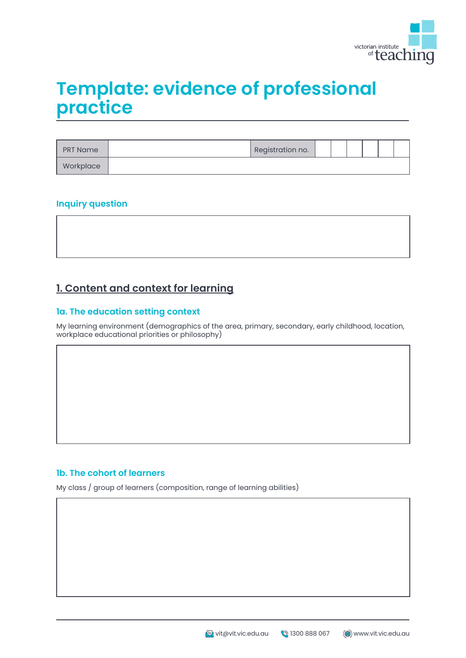

# **Template: evidence of professional practice**

| <b>PRT Name</b> | Registration no. |  |  |  |
|-----------------|------------------|--|--|--|
| Workplace       |                  |  |  |  |

## **Inquiry question**

## **1. Content and context for learning**

## **1a. The education setting context**

My learning environment (demographics of the area, primary, secondary, early childhood, location, workplace educational priorities or philosophy)

## **1b. The cohort of learners**

My class / group of learners (composition, range of learning abilities)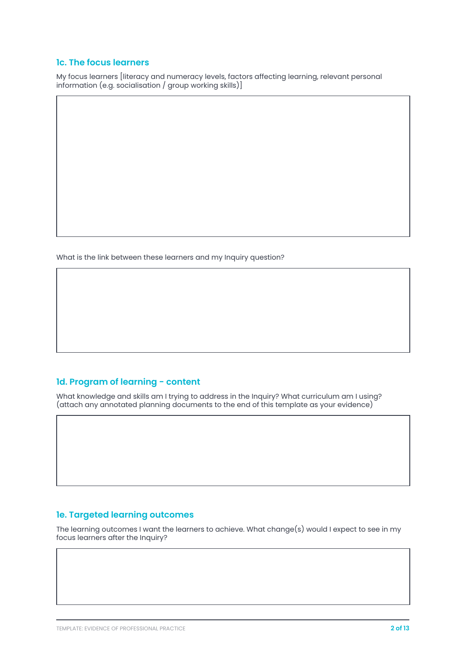## **1c. The focus learners**

My focus learners [literacy and numeracy levels, factors affecting learning, relevant personal information (e.g. socialisation / group working skills)]

What is the link between these learners and my Inquiry question?

## **1d. Program of learning - content**

What knowledge and skills am I trying to address in the Inquiry? What curriculum am I using? (attach any annotated planning documents to the end of this template as your evidence)

#### **1e. Targeted learning outcomes**

The learning outcomes I want the learners to achieve. What change(s) would I expect to see in my focus learners after the Inquiry?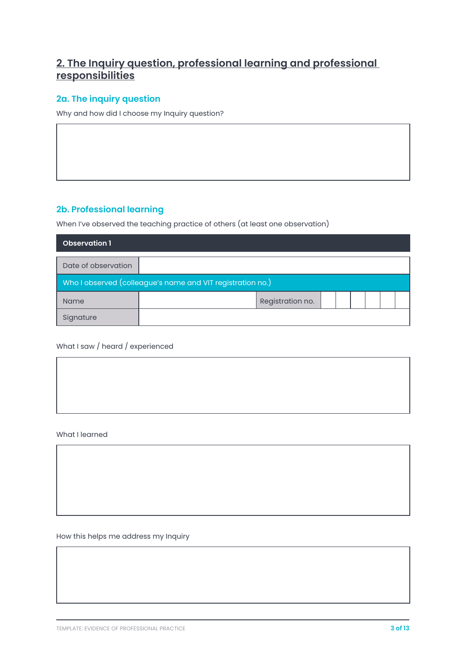# **2. The Inquiry question, professional learning and professional responsibilities**

## **2a. The inquiry question**

Why and how did I choose my Inquiry question?

## **2b. Professional learning**

When I've observed the teaching practice of others (at least one observation)

| <b>Observation 1</b>                                       |  |                  |  |  |  |  |  |  |
|------------------------------------------------------------|--|------------------|--|--|--|--|--|--|
| Date of observation                                        |  |                  |  |  |  |  |  |  |
| Who I observed (colleague's name and VIT registration no.) |  |                  |  |  |  |  |  |  |
| <b>Name</b>                                                |  | Registration no. |  |  |  |  |  |  |
| Signature                                                  |  |                  |  |  |  |  |  |  |

#### What I saw / heard / experienced

What I learned

How this helps me address my Inquiry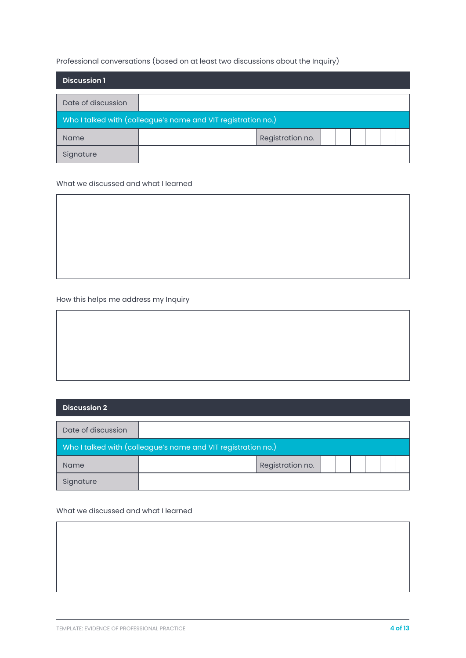## Professional conversations (based on at least two discussions about the Inquiry)

| <b>Discussion 1</b>                                           |                  |  |  |  |  |  |  |  |
|---------------------------------------------------------------|------------------|--|--|--|--|--|--|--|
| Date of discussion                                            |                  |  |  |  |  |  |  |  |
| Who I talked with (colleague's name and VIT registration no.) |                  |  |  |  |  |  |  |  |
| <b>Name</b>                                                   | Registration no. |  |  |  |  |  |  |  |
| Signature                                                     |                  |  |  |  |  |  |  |  |

#### What we discussed and what I learned

#### How this helps me address my Inquiry

| <b>Discussion 2</b>                                           |  |                  |  |  |  |  |  |  |
|---------------------------------------------------------------|--|------------------|--|--|--|--|--|--|
| Date of discussion                                            |  |                  |  |  |  |  |  |  |
| Who I talked with (colleague's name and VIT registration no.) |  |                  |  |  |  |  |  |  |
| <b>Name</b>                                                   |  | Registration no. |  |  |  |  |  |  |
| Signature                                                     |  |                  |  |  |  |  |  |  |

#### What we discussed and what I learned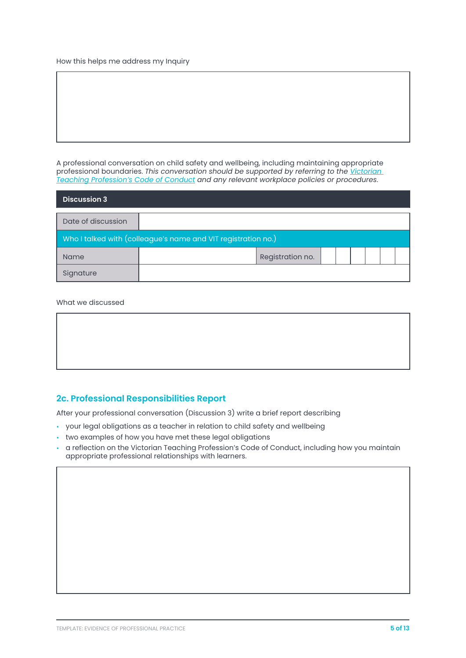A professional conversation on child safety and wellbeing, including maintaining appropriate professional boundaries. *This conversation should be supported by referring to the [Victorian](https://www.vit.vic.edu.au/media/166)  [Teaching Profession's Code of Conduct](https://www.vit.vic.edu.au/media/166) and any relevant workplace policies or procedures*.

| <b>Discussion 3</b>                                           |  |                  |  |  |  |  |  |  |
|---------------------------------------------------------------|--|------------------|--|--|--|--|--|--|
| Date of discussion                                            |  |                  |  |  |  |  |  |  |
| Who I talked with (colleague's name and VIT registration no.) |  |                  |  |  |  |  |  |  |
| <b>Name</b>                                                   |  | Registration no. |  |  |  |  |  |  |
| Signature                                                     |  |                  |  |  |  |  |  |  |

#### What we discussed

#### **2c. Professional Responsibilities Report**

After your professional conversation (Discussion 3) write a brief report describing

- **•** your legal obligations as a teacher in relation to child safety and wellbeing
- **•** two examples of how you have met these legal obligations
- **•** a reflection on the Victorian Teaching Profession's Code of Conduct, including how you maintain appropriate professional relationships with learners.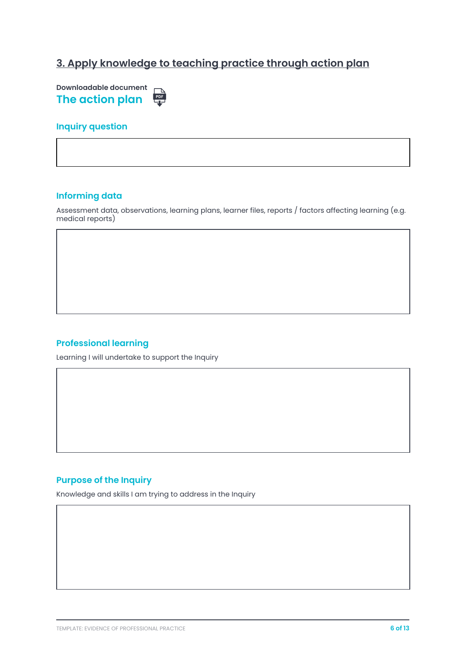# **3. Apply knowledge to teaching practice through action plan**



## **Inquiry question**

#### **Informing data**

Assessment data, observations, learning plans, learner files, reports / factors affecting learning (e.g. medical reports)

## **Professional learning**

Learning I will undertake to support the Inquiry

## **Purpose of the Inquiry**

Knowledge and skills I am trying to address in the Inquiry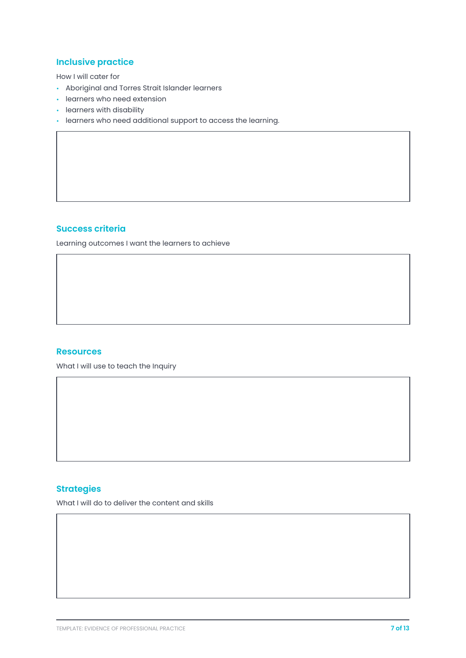## **Inclusive practice**

How I will cater for

- **•** Aboriginal and Torres Strait Islander learners
- **•** learners who need extension
- **•** learners with disability
- **•** learners who need additional support to access the learning.

## **Success criteria**

Learning outcomes I want the learners to achieve

#### **Resources**

What I will use to teach the Inquiry

## **Strategies**

What I will do to deliver the content and skills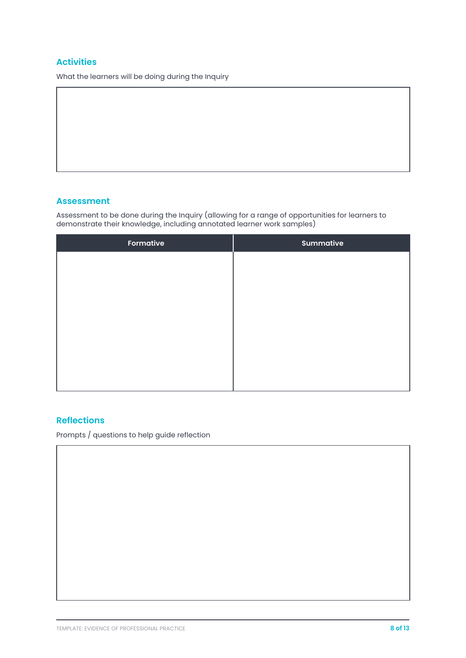## **Activities**

What the learners will be doing during the Inquiry

#### **Assessment**

Assessment to be done during the Inquiry (allowing for a range of opportunities for learners to demonstrate their knowledge, including annotated learner work samples)

| Formative | <b>Summative</b> |
|-----------|------------------|
|           |                  |
|           |                  |
|           |                  |
|           |                  |
|           |                  |
|           |                  |
|           |                  |
|           |                  |
|           |                  |

## **Reflections**

Prompts / questions to help guide reflection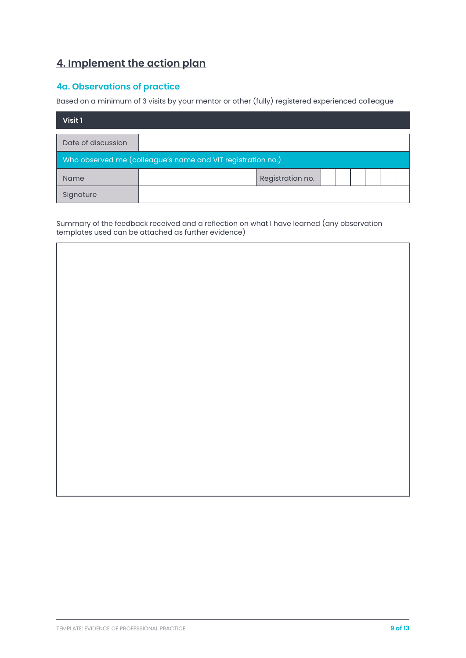# **4. Implement the action plan**

## **4a. Observations of practice**

Based on a minimum of 3 visits by your mentor or other (fully) registered experienced colleague

| Visit 1                                                     |  |                  |  |  |  |  |  |  |
|-------------------------------------------------------------|--|------------------|--|--|--|--|--|--|
| Date of discussion                                          |  |                  |  |  |  |  |  |  |
| Who observed me (colleague's name and VIT registration no.) |  |                  |  |  |  |  |  |  |
| <b>Name</b>                                                 |  | Registration no. |  |  |  |  |  |  |
| Signature                                                   |  |                  |  |  |  |  |  |  |

Summary of the feedback received and a reflection on what I have learned (any observation templates used can be attached as further evidence)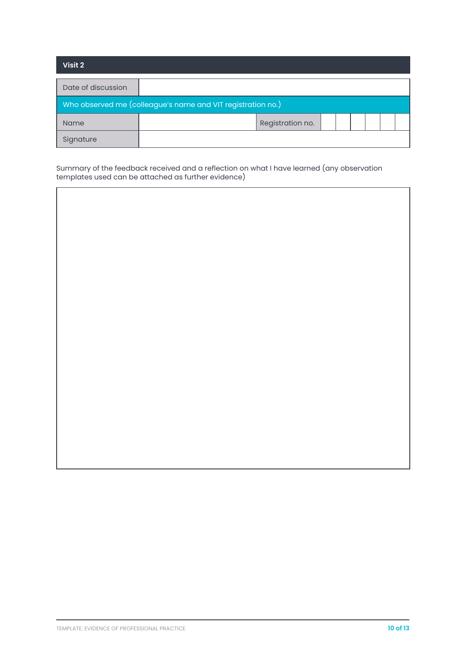| Visit 2                                                     |  |                  |  |  |  |  |  |  |
|-------------------------------------------------------------|--|------------------|--|--|--|--|--|--|
| Date of discussion                                          |  |                  |  |  |  |  |  |  |
| Who observed me (colleague's name and VIT registration no.) |  |                  |  |  |  |  |  |  |
| <b>Name</b>                                                 |  | Registration no. |  |  |  |  |  |  |
| Signature                                                   |  |                  |  |  |  |  |  |  |

Summary of the feedback received and a reflection on what I have learned (any observation templates used can be attached as further evidence)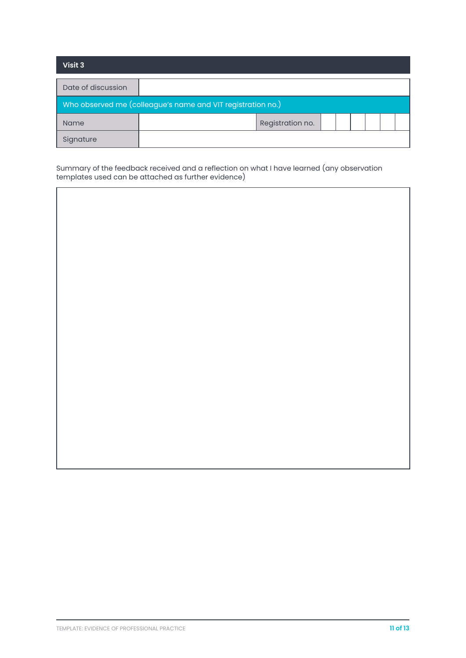| Visit 3                                                     |  |                  |  |  |  |  |  |  |
|-------------------------------------------------------------|--|------------------|--|--|--|--|--|--|
| Date of discussion                                          |  |                  |  |  |  |  |  |  |
| Who observed me (colleague's name and VIT registration no.) |  |                  |  |  |  |  |  |  |
| <b>Name</b>                                                 |  | Registration no. |  |  |  |  |  |  |
| Signature                                                   |  |                  |  |  |  |  |  |  |

Summary of the feedback received and a reflection on what I have learned (any observation templates used can be attached as further evidence)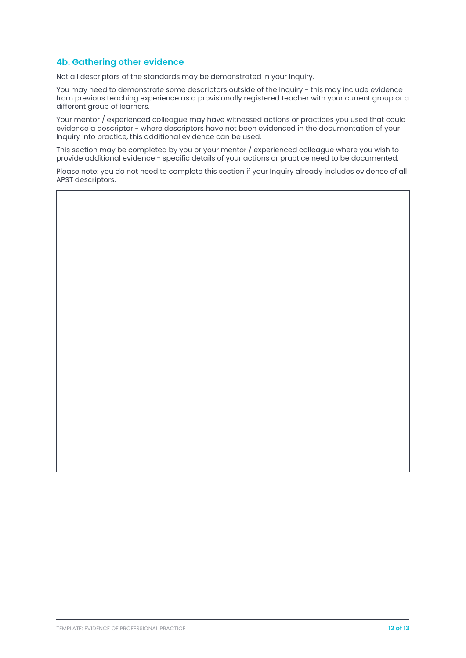## **4b. Gathering other evidence**

Not all descriptors of the standards may be demonstrated in your Inquiry.

You may need to demonstrate some descriptors outside of the Inquiry - this may include evidence from previous teaching experience as a provisionally registered teacher with your current group or a different group of learners.

Your mentor / experienced colleague may have witnessed actions or practices you used that could evidence a descriptor - where descriptors have not been evidenced in the documentation of your Inquiry into practice, this additional evidence can be used.

This section may be completed by you or your mentor / experienced colleague where you wish to provide additional evidence - specific details of your actions or practice need to be documented.

Please note: you do not need to complete this section if your Inquiry already includes evidence of all APST descriptors.